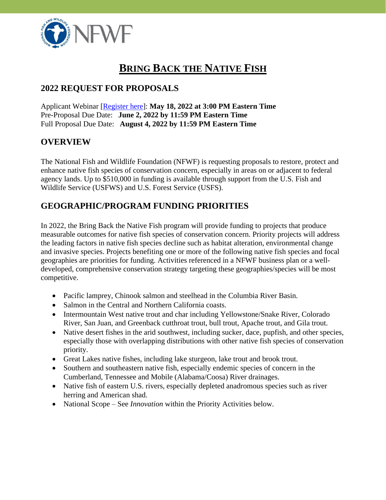

# **BRING BACK THE NATIVE FISH**

## **2022 REQUEST FOR PROPOSALS**

Applicant Webinar [\[Register here\]](https://attendee.gotowebinar.com/register/3385407719518050060): **May 18, 2022 at 3:00 PM Eastern Time** Pre-Proposal Due Date: **June 2, 2022 by 11:59 PM Eastern Time** Full Proposal Due Date: **August 4, 2022 by 11:59 PM Eastern Time**

## **OVERVIEW**

The National Fish and Wildlife Foundation (NFWF) is requesting proposals to restore, protect and enhance native fish species of conservation concern, especially in areas on or adjacent to federal agency lands. Up to \$510,000 in funding is available through support from the U.S. Fish and Wildlife Service (USFWS) and U.S. Forest Service (USFS).

## **GEOGRAPHIC/PROGRAM FUNDING PRIORITIES**

In 2022, the Bring Back the Native Fish program will provide funding to projects that produce measurable outcomes for native fish species of conservation concern. Priority projects will address the leading factors in native fish species decline such as habitat alteration, environmental change and invasive species. Projects benefiting one or more of the following native fish species and focal geographies are priorities for funding. Activities referenced in a NFWF business plan or a welldeveloped, comprehensive conservation strategy targeting these geographies/species will be most competitive.

- Pacific lamprey, Chinook salmon and steelhead in the Columbia River Basin.
- Salmon in the Central and Northern California coasts.
- Intermountain West native trout and char including Yellowstone/Snake River, Colorado River, San Juan, and Greenback cutthroat trout, bull trout, Apache trout, and Gila trout.
- Native desert fishes in the arid southwest, including sucker, dace, pupfish, and other species, especially those with overlapping distributions with other native fish species of conservation priority.
- Great Lakes native fishes, including lake sturgeon, lake trout and brook trout.
- Southern and southeastern native fish, especially endemic species of concern in the Cumberland, Tennessee and Mobile (Alabama/Coosa) River drainages.
- Native fish of eastern U.S. rivers, especially depleted anadromous species such as river herring and American shad.
- National Scope See *Innovation* within the Priority Activities below.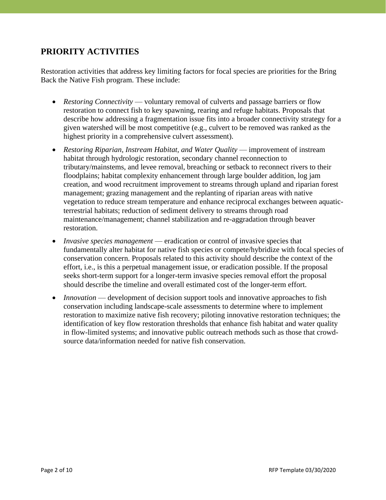## **PRIORITY ACTIVITIES**

Restoration activities that address key limiting factors for focal species are priorities for the Bring Back the Native Fish program. These include:

- *Restoring Connectivity* voluntary removal of culverts and passage barriers or flow restoration to connect fish to key spawning, rearing and refuge habitats. Proposals that describe how addressing a fragmentation issue fits into a broader connectivity strategy for a given watershed will be most competitive (e.g., culvert to be removed was ranked as the highest priority in a comprehensive culvert assessment).
- *Restoring Riparian, Instream Habitat, and Water Quality* improvement of instream habitat through hydrologic restoration, secondary channel reconnection to tributary/mainstems, and levee removal, breaching or setback to reconnect rivers to their floodplains; habitat complexity enhancement through large boulder addition, log jam creation, and wood recruitment improvement to streams through upland and riparian forest management; grazing management and the replanting of riparian areas with native vegetation to reduce stream temperature and enhance reciprocal exchanges between aquaticterrestrial habitats; reduction of sediment delivery to streams through road maintenance/management; channel stabilization and re-aggradation through beaver restoration.
- *Invasive species management* eradication or control of invasive species that fundamentally alter habitat for native fish species or compete/hybridize with focal species of conservation concern. Proposals related to this activity should describe the context of the effort, i.e., is this a perpetual management issue, or eradication possible. If the proposal seeks short-term support for a longer-term invasive species removal effort the proposal should describe the timeline and overall estimated cost of the longer-term effort.
- *Innovation* development of decision support tools and innovative approaches to fish conservation including landscape-scale assessments to determine where to implement restoration to maximize native fish recovery; piloting innovative restoration techniques; the identification of key flow restoration thresholds that enhance fish habitat and water quality in flow-limited systems; and innovative public outreach methods such as those that crowdsource data/information needed for native fish conservation.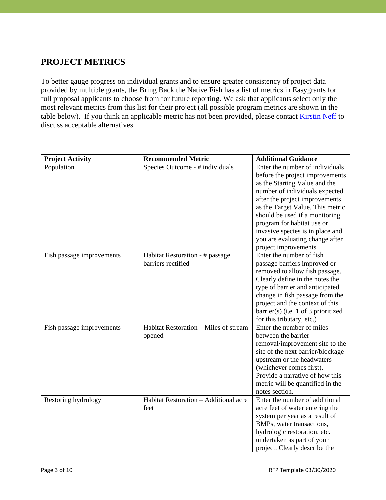## **PROJECT METRICS**

To better gauge progress on individual grants and to ensure greater consistency of project data provided by multiple grants, the Bring Back the Native Fish has a list of metrics in Easygrants for full proposal applicants to choose from for future reporting. We ask that applicants select only the most relevant metrics from this list for their project (all possible program metrics are shown in the table below). If you think an applicable metric has not been provided, please contact [Kirstin Neff](mailto:Kirstin.Neff@nfwf.org) to discuss acceptable alternatives.

| <b>Project Activity</b>   | <b>Recommended Metric</b>             | <b>Additional Guidance</b>          |
|---------------------------|---------------------------------------|-------------------------------------|
| Population                | Species Outcome - # individuals       | Enter the number of individuals     |
|                           |                                       | before the project improvements     |
|                           |                                       | as the Starting Value and the       |
|                           |                                       | number of individuals expected      |
|                           |                                       | after the project improvements      |
|                           |                                       | as the Target Value. This metric    |
|                           |                                       | should be used if a monitoring      |
|                           |                                       | program for habitat use or          |
|                           |                                       | invasive species is in place and    |
|                           |                                       | you are evaluating change after     |
|                           |                                       | project improvements.               |
| Fish passage improvements | Habitat Restoration - # passage       | Enter the number of fish            |
|                           | barriers rectified                    | passage barriers improved or        |
|                           |                                       | removed to allow fish passage.      |
|                           |                                       | Clearly define in the notes the     |
|                           |                                       | type of barrier and anticipated     |
|                           |                                       | change in fish passage from the     |
|                           |                                       | project and the context of this     |
|                           |                                       | barrier(s) (i.e. 1 of 3 prioritized |
|                           |                                       | for this tributary, etc.)           |
| Fish passage improvements | Habitat Restoration - Miles of stream | Enter the number of miles           |
|                           | opened                                | between the barrier                 |
|                           |                                       | removal/improvement site to the     |
|                           |                                       | site of the next barrier/blockage   |
|                           |                                       | upstream or the headwaters          |
|                           |                                       | (whichever comes first).            |
|                           |                                       | Provide a narrative of how this     |
|                           |                                       | metric will be quantified in the    |
|                           |                                       | notes section.                      |
| Restoring hydrology       | Habitat Restoration - Additional acre | Enter the number of additional      |
|                           | feet                                  | acre feet of water entering the     |
|                           |                                       | system per year as a result of      |
|                           |                                       | BMPs, water transactions,           |
|                           |                                       | hydrologic restoration, etc.        |
|                           |                                       | undertaken as part of your          |
|                           |                                       | project. Clearly describe the       |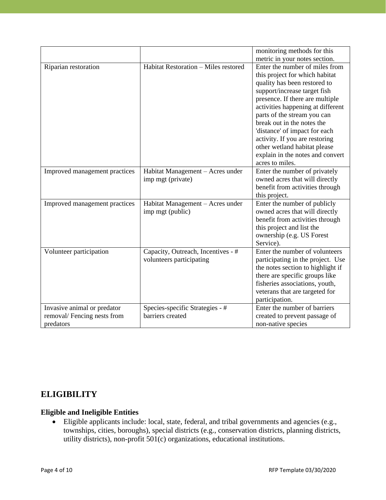|                               |                                      | monitoring methods for this                                     |
|-------------------------------|--------------------------------------|-----------------------------------------------------------------|
| Riparian restoration          | Habitat Restoration - Miles restored | metric in your notes section.<br>Enter the number of miles from |
|                               |                                      | this project for which habitat                                  |
|                               |                                      | quality has been restored to                                    |
|                               |                                      | support/increase target fish                                    |
|                               |                                      | presence. If there are multiple                                 |
|                               |                                      | activities happening at different                               |
|                               |                                      | parts of the stream you can                                     |
|                               |                                      | break out in the notes the                                      |
|                               |                                      | 'distance' of impact for each                                   |
|                               |                                      | activity. If you are restoring                                  |
|                               |                                      | other wetland habitat please                                    |
|                               |                                      | explain in the notes and convert                                |
|                               |                                      | acres to miles.                                                 |
| Improved management practices | Habitat Management - Acres under     | Enter the number of privately                                   |
|                               | imp mgt (private)                    | owned acres that will directly                                  |
|                               |                                      | benefit from activities through                                 |
|                               |                                      | this project.                                                   |
| Improved management practices | Habitat Management - Acres under     | Enter the number of publicly                                    |
|                               | imp mgt (public)                     | owned acres that will directly                                  |
|                               |                                      | benefit from activities through                                 |
|                               |                                      | this project and list the                                       |
|                               |                                      | ownership (e.g. US Forest                                       |
|                               |                                      | Service).                                                       |
| Volunteer participation       | Capacity, Outreach, Incentives - #   | Enter the number of volunteers                                  |
|                               | volunteers participating             | participating in the project. Use                               |
|                               |                                      | the notes section to highlight if                               |
|                               |                                      | there are specific groups like                                  |
|                               |                                      | fisheries associations, youth,                                  |
|                               |                                      | veterans that are targeted for                                  |
|                               |                                      | participation.                                                  |
| Invasive animal or predator   | Species-specific Strategies - #      | Enter the number of barriers                                    |
| removal/Fencing nests from    | barriers created                     | created to prevent passage of                                   |
| predators                     |                                      | non-native species                                              |

## **ELIGIBILITY**

#### **Eligible and Ineligible Entities**

• Eligible applicants include: local, state, federal, and tribal governments and agencies (e.g., townships, cities, boroughs), special districts (e.g., conservation districts, planning districts, utility districts), non-profit 501(c) organizations, educational institutions.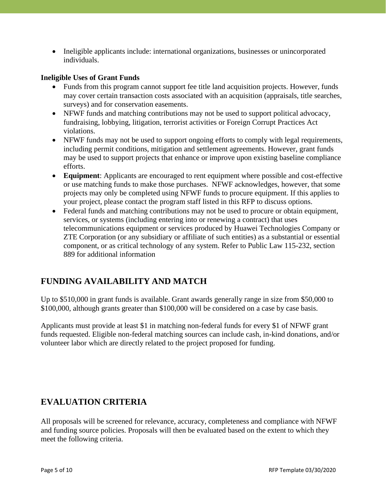• Ineligible applicants include: international organizations, businesses or unincorporated individuals.

#### **Ineligible Uses of Grant Funds**

- Funds from this program cannot support fee title land acquisition projects. However, funds may cover certain transaction costs associated with an acquisition (appraisals, title searches, surveys) and for conservation easements.
- NFWF funds and matching contributions may not be used to support political advocacy, fundraising, lobbying, litigation, terrorist activities or Foreign Corrupt Practices Act violations.
- NFWF funds may not be used to support ongoing efforts to comply with legal requirements, including permit conditions, mitigation and settlement agreements. However, grant funds may be used to support projects that enhance or improve upon existing baseline compliance efforts.
- **Equipment**: Applicants are encouraged to rent equipment where possible and cost-effective or use matching funds to make those purchases. NFWF acknowledges, however, that some projects may only be completed using NFWF funds to procure equipment. If this applies to your project, please contact the program staff listed in this RFP to discuss options.
- Federal funds and matching contributions may not be used to procure or obtain equipment, services, or systems (including entering into or renewing a contract) that uses telecommunications equipment or services produced by Huawei Technologies Company or ZTE Corporation (or any subsidiary or affiliate of such entities) as a substantial or essential component, or as critical technology of any system. Refer to Public Law 115-232, section 889 for additional information

### **FUNDING AVAILABILITY AND MATCH**

Up to \$510,000 in grant funds is available. Grant awards generally range in size from \$50,000 to \$100,000, although grants greater than \$100,000 will be considered on a case by case basis.

Applicants must provide at least \$1 in matching non-federal funds for every \$1 of NFWF grant funds requested. Eligible non-federal matching sources can include cash, in-kind donations, and/or volunteer labor which are directly related to the project proposed for funding.

### **EVALUATION CRITERIA**

All proposals will be screened for relevance, accuracy, completeness and compliance with NFWF and funding source policies. Proposals will then be evaluated based on the extent to which they meet the following criteria.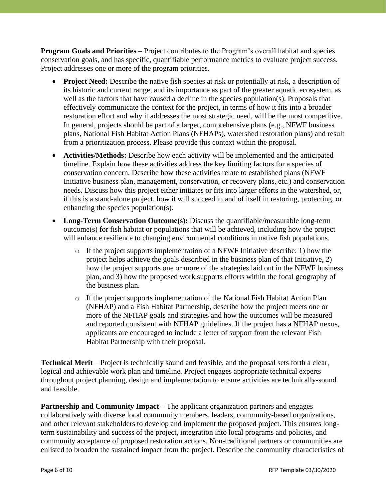**Program Goals and Priorities** – Project contributes to the Program's overall habitat and species conservation goals, and has specific, quantifiable performance metrics to evaluate project success. Project addresses one or more of the program priorities.

- **Project Need:** Describe the native fish species at risk or potentially at risk, a description of its historic and current range, and its importance as part of the greater aquatic ecosystem, as well as the factors that have caused a decline in the species population(s). Proposals that effectively communicate the context for the project, in terms of how it fits into a broader restoration effort and why it addresses the most strategic need, will be the most competitive. In general, projects should be part of a larger, comprehensive plans (e.g., NFWF business plans, National Fish Habitat Action Plans (NFHAPs), watershed restoration plans) and result from a prioritization process. Please provide this context within the proposal.
- **Activities/Methods:** Describe how each activity will be implemented and the anticipated timeline. Explain how these activities address the key limiting factors for a species of conservation concern. Describe how these activities relate to established plans (NFWF Initiative business plan, management, conservation, or recovery plans, etc.) and conservation needs. Discuss how this project either initiates or fits into larger efforts in the watershed, or, if this is a stand-alone project, how it will succeed in and of itself in restoring, protecting, or enhancing the species population(s).
- **Long-Term Conservation Outcome(s):** Discuss the quantifiable/measurable long-term outcome(s) for fish habitat or populations that will be achieved, including how the project will enhance resilience to changing environmental conditions in native fish populations.
	- o If the project supports implementation of a NFWF Initiative describe: 1) how the project helps achieve the goals described in the business plan of that Initiative, 2) how the project supports one or more of the strategies laid out in the NFWF business plan, and 3) how the proposed work supports efforts within the focal geography of the business plan.
	- o If the project supports implementation of the National Fish Habitat Action Plan (NFHAP) and a Fish Habitat Partnership, describe how the project meets one or more of the NFHAP goals and strategies and how the outcomes will be measured and reported consistent with NFHAP guidelines. If the project has a NFHAP nexus, applicants are encouraged to include a letter of support from the relevant Fish Habitat Partnership with their proposal.

**Technical Merit** – Project is technically sound and feasible, and the proposal sets forth a clear, logical and achievable work plan and timeline. Project engages appropriate technical experts throughout project planning, design and implementation to ensure activities are technically-sound and feasible.

**Partnership and Community Impact** – The applicant organization partners and engages collaboratively with diverse local community members, leaders, community-based organizations, and other relevant stakeholders to develop and implement the proposed project. This ensures longterm sustainability and success of the project, integration into local programs and policies, and community acceptance of proposed restoration actions. Non-traditional partners or communities are enlisted to broaden the sustained impact from the project. Describe the community characteristics of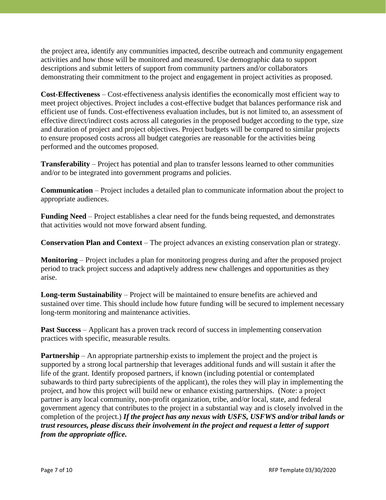the project area, identify any communities impacted, describe outreach and community engagement activities and how those will be monitored and measured. Use demographic data to support descriptions and submit letters of support from community partners and/or collaborators demonstrating their commitment to the project and engagement in project activities as proposed.

**Cost-Effectiveness** – Cost-effectiveness analysis identifies the economically most efficient way to meet project objectives. Project includes a cost-effective budget that balances performance risk and efficient use of funds. Cost-effectiveness evaluation includes, but is not limited to, an assessment of effective direct/indirect costs across all categories in the proposed budget according to the type, size and duration of project and project objectives. Project budgets will be compared to similar projects to ensure proposed costs across all budget categories are reasonable for the activities being performed and the outcomes proposed.

**Transferability** – Project has potential and plan to transfer lessons learned to other communities and/or to be integrated into government programs and policies.

**Communication** – Project includes a detailed plan to communicate information about the project to appropriate audiences.

**Funding Need** – Project establishes a clear need for the funds being requested, and demonstrates that activities would not move forward absent funding.

**Conservation Plan and Context** – The project advances an existing conservation plan or strategy.

**Monitoring** – Project includes a plan for monitoring progress during and after the proposed project period to track project success and adaptively address new challenges and opportunities as they arise.

**Long-term Sustainability** – Project will be maintained to ensure benefits are achieved and sustained over time. This should include how future funding will be secured to implement necessary long-term monitoring and maintenance activities.

**Past Success** – Applicant has a proven track record of success in implementing conservation practices with specific, measurable results.

**Partnership** – An appropriate partnership exists to implement the project and the project is supported by a strong local partnership that leverages additional funds and will sustain it after the life of the grant. Identify proposed partners, if known (including potential or contemplated subawards to third party subrecipients of the applicant), the roles they will play in implementing the project, and how this project will build new or enhance existing partnerships. (Note: a project partner is any local community, non-profit organization, tribe, and/or local, state, and federal government agency that contributes to the project in a substantial way and is closely involved in the completion of the project.) *If the project has any nexus with USFS, USFWS and/or tribal lands or trust resources, please discuss their involvement in the project and request a letter of support from the appropriate office.*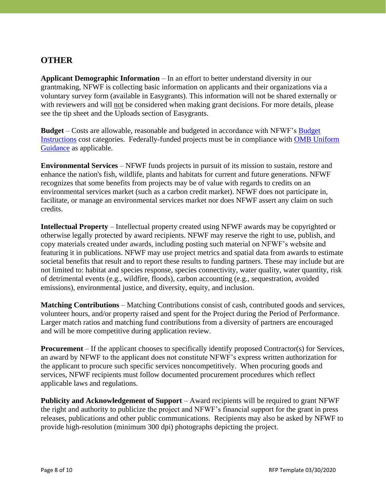## **OTHER**

**Applicant Demographic Information** – In an effort to better understand diversity in our grantmaking, NFWF is collecting basic information on applicants and their organizations via a voluntary survey form (available in Easygrants). This information will not be shared externally or with reviewers and will not be considered when making grant decisions. For more details, please see the tip sheet and the Uploads section of Easygrants.

**Budget** – Costs are allowable, reasonable and budgeted in accordance with NFWF's [Budget](https://www.nfwf.org/apply-grant/application-information/budget-instructions)  [Instructions](https://www.nfwf.org/apply-grant/application-information/budget-instructions) cost categories. Federally-funded projects must be in compliance with [OMB Uniform](http://www.ecfr.gov/cgi-bin/text-idx?SID=704835d27377ef5213a51c149de40cab&node=2:1.1.2.2.1&rgn=div5)  [Guidance](http://www.ecfr.gov/cgi-bin/text-idx?SID=704835d27377ef5213a51c149de40cab&node=2:1.1.2.2.1&rgn=div5) as applicable.

**Environmental Services** – NFWF funds projects in pursuit of its mission to sustain, restore and enhance the nation's fish, wildlife, plants and habitats for current and future generations. NFWF recognizes that some benefits from projects may be of value with regards to credits on an environmental services market (such as a carbon credit market). NFWF does not participate in, facilitate, or manage an environmental services market nor does NFWF assert any claim on such credits.

**Intellectual Property** – Intellectual property created using NFWF awards may be copyrighted or otherwise legally protected by award recipients. NFWF may reserve the right to use, publish, and copy materials created under awards, including posting such material on NFWF's website and featuring it in publications. NFWF may use project metrics and spatial data from awards to estimate societal benefits that result and to report these results to funding partners. These may include but are not limited to: habitat and species response, species connectivity, water quality, water quantity, risk of detrimental events (e.g., wildfire, floods), carbon accounting (e.g., sequestration, avoided emissions), environmental justice, and diversity, equity, and inclusion.

**Matching Contributions** – Matching Contributions consist of cash, contributed goods and services, volunteer hours, and/or property raised and spent for the Project during the Period of Performance. Larger match ratios and matching fund contributions from a diversity of partners are encouraged and will be more competitive during application review.

**Procurement** – If the applicant chooses to specifically identify proposed Contractor(s) for Services, an award by NFWF to the applicant does not constitute NFWF's express written authorization for the applicant to procure such specific services noncompetitively. When procuring goods and services, NFWF recipients must follow documented procurement procedures which reflect applicable laws and regulations.

**Publicity and Acknowledgement of Support** – Award recipients will be required to grant NFWF the right and authority to publicize the project and NFWF's financial support for the grant in press releases, publications and other public communications. Recipients may also be asked by NFWF to provide high-resolution (minimum 300 dpi) photographs depicting the project.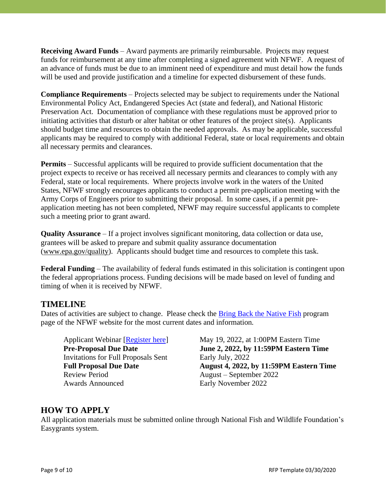**Receiving Award Funds** – Award payments are primarily reimbursable. Projects may request funds for reimbursement at any time after completing a signed agreement with NFWF. A request of an advance of funds must be due to an imminent need of expenditure and must detail how the funds will be used and provide justification and a timeline for expected disbursement of these funds.

**Compliance Requirements** – Projects selected may be subject to requirements under the National Environmental Policy Act, Endangered Species Act (state and federal), and National Historic Preservation Act. Documentation of compliance with these regulations must be approved prior to initiating activities that disturb or alter habitat or other features of the project site(s). Applicants should budget time and resources to obtain the needed approvals. As may be applicable, successful applicants may be required to comply with additional Federal, state or local requirements and obtain all necessary permits and clearances.

**Permits** – Successful applicants will be required to provide sufficient documentation that the project expects to receive or has received all necessary permits and clearances to comply with any Federal, state or local requirements. Where projects involve work in the waters of the United States, NFWF strongly encourages applicants to conduct a permit pre-application meeting with the Army Corps of Engineers prior to submitting their proposal. In some cases, if a permit preapplication meeting has not been completed, NFWF may require successful applicants to complete such a meeting prior to grant award.

**Quality Assurance** – If a project involves significant monitoring, data collection or data use, grantees will be asked to prepare and submit quality assurance documentation [\(www.epa.gov/quality\)](http://www.epa.gov/quality). Applicants should budget time and resources to complete this task.

**Federal Funding** – The availability of federal funds estimated in this solicitation is contingent upon the federal appropriations process. Funding decisions will be made based on level of funding and timing of when it is received by NFWF.

#### **TIMELINE**

Dates of activities are subject to change. Please check the [Bring Back the Native](http://www.nfwf.org/bbn/Pages/home.aspx) Fish program page of the NFWF website for the most current dates and information*.*

Invitations for Full Proposals Sent Early July, 2022 Review Period August – September 2022 Awards Announced Early November 2022

Applicant Webinar [\[Register here\]](https://attendee.gotowebinar.com/register/3385407719518050060) May 19, 2022, at 1:00PM Eastern Time **Pre-Proposal Due Date June 2, 2022, by 11:59PM Eastern Time Full Proposal Due Date August 4, 2022, by 11:59PM Eastern Time**

### **HOW TO APPLY**

All application materials must be submitted online through National Fish and Wildlife Foundation's Easygrants system.